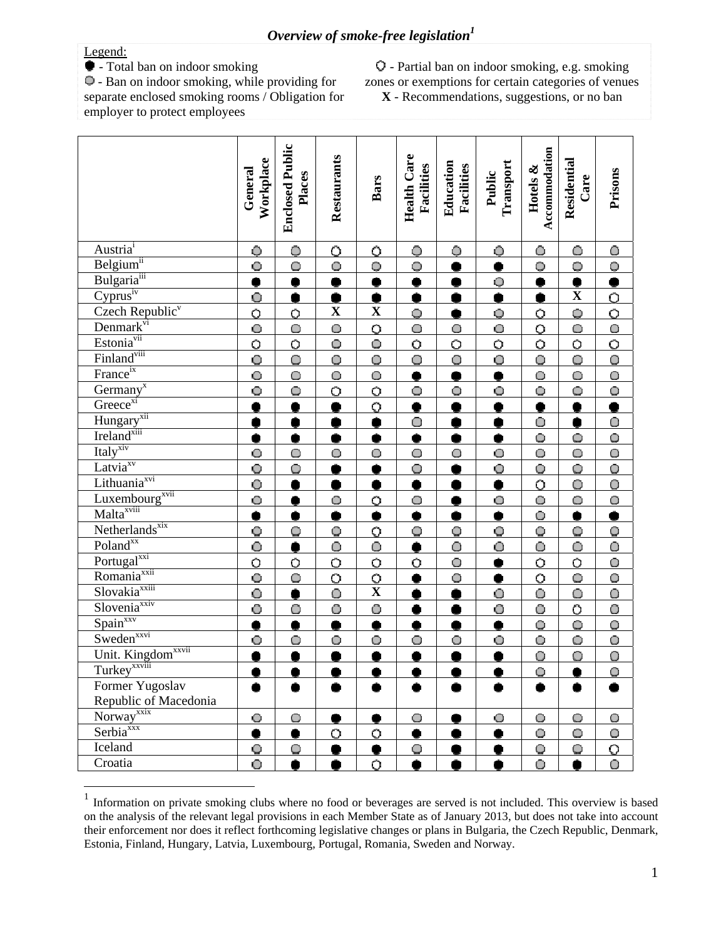## Overview of smoke-free legislation $^1$

## Legend:

 $\overline{a}$ 

- Total ban on indoor smoking

 - Ban on indoor smoking, while providing for separate enclosed smoking rooms / Obligation for employer to protect employees

 - Partial ban on indoor smoking, e.g. smoking zones or exemptions for certain categories of venues **X** - Recommendations, suggestions, or no ban

|                                                                                  | Workplace<br>General  | <b>Enclosed Public</b><br>Places | Restaurants        | <b>Bars</b>             | <b>Health Care</b><br>Facilities | Education<br>Facilities | Transport<br>Public | Accommodation<br>Hotels & | Residential<br>Care | Prisons                 |
|----------------------------------------------------------------------------------|-----------------------|----------------------------------|--------------------|-------------------------|----------------------------------|-------------------------|---------------------|---------------------------|---------------------|-------------------------|
| Austria <sup>i</sup>                                                             | Ô                     | $\ddot{\mathbf{O}}$              | Ó                  | Ő                       | Ô                                | Ô                       | $\ddot{\bullet}$    | $\bullet$                 | Ō                   | $\circ$                 |
| Belgium <sup>ii</sup>                                                            | $\bullet$             | O                                | O                  | $\circ$                 | $\overline{\mathbb{Q}}$          |                         |                     | $\bigcirc$                | $\ddot{\mathbf{Q}}$ | $\overline{Q}$          |
| Bulgaria <sup>iii</sup>                                                          | þ                     |                                  |                    | ¢                       | $\bullet$                        |                         | $\mathbf \Theta$    |                           | ۰                   |                         |
| $\overline{\text{Cyprus}^{\text{iv}}}$                                           | $\bullet$             | $\bullet$                        | ä                  | $\bullet$               | $\bullet$                        | Ŏ                       | Ŏ                   | $\bullet$                 | $\mathbf X$         | $\overline{Q}$          |
| Czech Republic <sup>v</sup>                                                      | Ö                     | Ö                                | $\mathbf X$        | $\overline{\mathbf{X}}$ | $\ddot{\mathbf{Q}}$              |                         | $\mathbf 0$         | $\overline{O}$            | $\overline{Q}$      |                         |
| $\frac{\text{Denmark}^{\text{vi}}}{\text{Estonia}^{\text{vii}}}$                 | $\bullet$             | $\bigcirc$                       | $\overline{\circ}$ | $\overline{\circ}$      | $\circ$                          | $\bigcirc$              | $\bullet$           | $\overline{\circ}$        | Ō                   | $\frac{1}{10}$          |
|                                                                                  | $\overline{\text{o}}$ | $\overline{O}$                   | $\bullet$          | $\overline{\mathbf{o}}$ | $\overline{O}$                   | $\overline{O}$          | $\overline{O}$      | $\overline{\circ}$        | $\overline{O}$      |                         |
| Finland <sup>viii</sup><br>France <sup>ix</sup>                                  | $\bullet$             | $\bigcirc$                       | O                  | $\overline{O}$          | Ō                                | $\circ$                 | $\bullet$           | $\bigcirc$                | Ó                   | $\overline{\mathbf{o}}$ |
|                                                                                  | $\ddot{\mathbf{O}}$   | Ō                                | $\bullet$          | $\overline{O}$          | $\bullet$                        | $\bullet$               | $\bullet$           | $\bigcirc$                | $\bullet$           | $\overline{O}$          |
| $\frac{Germany^x}{Greeze^{xi}}$                                                  | Ō                     | $\bigcirc$                       | $\overline{O}$     | $\overline{O}$          | $\bullet$                        | Ō                       | O                   | $\circ$                   | Ó                   | $\overline{\mathbf{O}}$ |
|                                                                                  | ė                     |                                  |                    | $\overline{Q}$          | $\bullet$                        |                         | ۰                   | $\overline{\bullet}$      | ò                   |                         |
|                                                                                  | Ŏ                     |                                  |                    | $\bullet$               | Ō                                |                         |                     | $\overline{O}$            | Ô                   | $\overline{0}$          |
| Hungary <sup>xii</sup><br>Ireland <sup>xiii</sup>                                | Þ                     |                                  |                    | ۰                       | ۰                                | ۰                       | ۰                   | $\circ$                   | $\circ$             | $\circ$                 |
| Italy <sup>xiv</sup>                                                             | $\bullet$             | $\bigcirc$                       | $\circ$            | $\circ$                 | $\circ$                          | $\circ$                 | $\overline{O}$      | $\overline{\mathsf{O}}$   | Ō                   | $\Omega$                |
| $\overline{\text{Lativa}^{\text{xv}}}$                                           | $\bullet$             | $\bullet$                        |                    | Ò                       | Q                                |                         | Q                   | $\overline{Q}$            | $\ddot{\mathbf{Q}}$ | $\overline{\mathbf{o}}$ |
|                                                                                  | $\bullet$             |                                  |                    |                         | $\bullet$                        |                         | ō                   | Ö                         | Ō                   | $\overline{0}$          |
| Lithuania <sup>xvi</sup><br>Luxembourg <sup>xvii</sup><br>Malta <sup>xviii</sup> | $\bullet$             |                                  | O                  | $\overline{O}$          | $\circ$                          |                         | $\bullet$           | $\overline{\mathbf{o}}$   | Ō                   | $\Theta$                |
|                                                                                  | þ                     |                                  |                    | $\bullet$               | ۰                                | 0                       | ۰                   | $\overline{\mathsf{O}}$   | ۰                   |                         |
| Netherlands <sup>xix</sup>                                                       | $\overline{Q}$        | $\circ$                          | Q                  | $\overline{Q}$          | $\mathbf Q$                      | Ф                       | $\mathbf \Theta$    | $\overline{Q}$            | O                   | $\bullet$               |
| Poland <sup>xx</sup>                                                             | Ó                     | Ŏ                                | Ō                  | $\overline{0}$          | Ô                                | Ō                       | Ō                   | Ō                         | Ó                   | $\overline{O}$          |
|                                                                                  |                       | $\overline{O}$                   | $\overline{O}$     | $\overline{O}$          | $\overline{O}$                   | $\bullet$               | $\bullet$           | $\overline{Q}$            | $\overline{O}$      | $\circ$                 |
| Portugal <sup>xxi</sup><br>Romania <sup>xxii</sup>                               | $\frac{1}{10}$        | $\bigcirc$                       | $\overline{O}$     | $\frac{0}{\mathbf{X}}$  | ۰                                | $\bigcirc$              | $\bullet$           | $\overline{O}$            | Ō                   | $\overline{\mathbf{o}}$ |
| Slovakia <sup>xxiii</sup>                                                        | $\overline{\circ}$    |                                  | O                  |                         | ā                                |                         | $\overline{O}$      | $\dot{0}$                 | Ō                   | $\overline{\mathbf{o}}$ |
| Slovenia <sup>xxiv</sup>                                                         | $\overline{\bullet}$  | Ô                                | Ô                  | Ô                       | Ŏ                                |                         | Ô                   | Ô                         | Ŏ                   | Ô                       |
| $\frac{Spin^{xxy}}{Sweden^{xxi}}$                                                | $\bullet$             | $\bullet$                        | ä                  | $\bullet$               | $\bullet$                        | $\bullet$               | Ŏ                   | $\bigcirc$                | $\bullet$           | $\bigcirc$              |
|                                                                                  | $\ddot{\mathbf{O}}$   | O                                | $\bullet$          | $\circ$                 | $\bullet$                        | $\circ$                 | Ō                   | $\bigcirc$                | Ō                   | $\bigcirc$              |
| Unit. Kingdom <sup>xxvii</sup><br>Turkey <sup>xxviii</sup>                       | ė                     |                                  |                    |                         | ä                                |                         |                     | $\overline{0}$            | Ō                   | $\overline{0}$          |
|                                                                                  |                       |                                  |                    |                         |                                  |                         |                     | О                         |                     | O                       |
| Former Yugoslav                                                                  |                       |                                  |                    |                         |                                  |                         |                     |                           |                     |                         |
| Republic of Macedonia                                                            |                       |                                  |                    |                         |                                  |                         |                     |                           |                     |                         |
| Norway <sup>xxix</sup>                                                           | O                     | $\bigcirc$                       |                    |                         | $\bigcirc$                       |                         | $\bullet$           | $\bigcirc$                | Ō                   | $\bigcirc$              |
| Serbia <sup>xxx</sup>                                                            |                       |                                  | $\circ$            | $\circ$                 | ۰                                |                         |                     | O                         | $\bigcirc$          | O                       |
| Iceland                                                                          | $\bullet$             | O                                |                    |                         | $\circ$                          |                         |                     | $\mathbf Q$               | O                   | $\overline{\Omega}$     |
| Croatia                                                                          | Ō                     |                                  |                    | $\circ$                 |                                  |                         |                     | Ō                         |                     | $\bigcirc$              |

<sup>&</sup>lt;sup>1</sup> Information on private smoking clubs where no food or beverages are served is not included. This overview is based on the analysis of the relevant legal provisions in each Member State as of January 2013, but does not take into account their enforcement nor does it reflect forthcoming legislative changes or plans in Bulgaria, the Czech Republic, Denmark, Estonia, Finland, Hungary, Latvia, Luxembourg, Portugal, Romania, Sweden and Norway.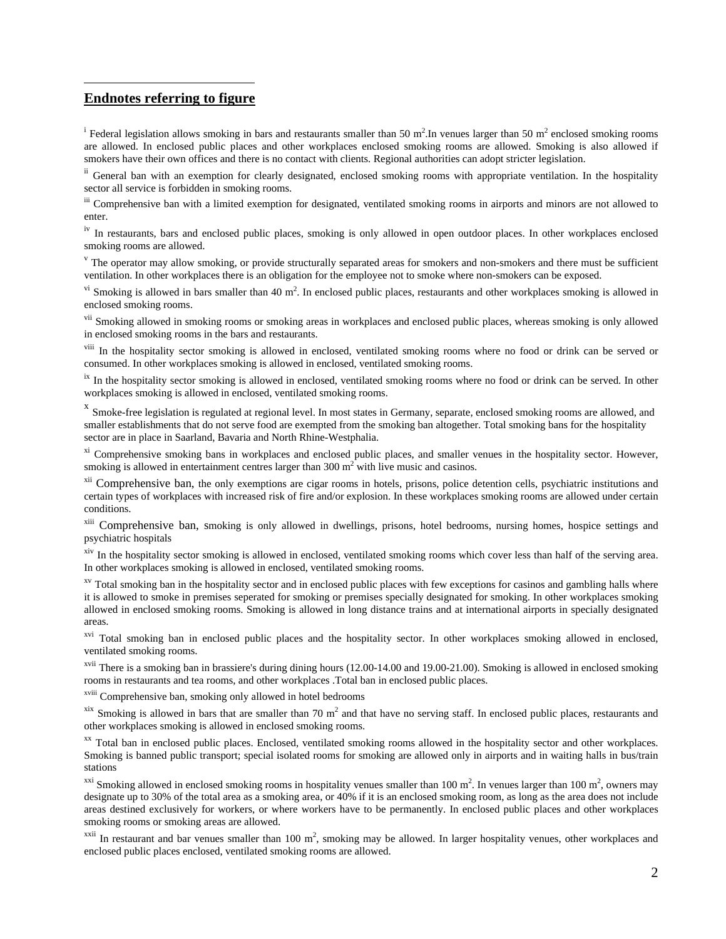## **Endnotes referring to figure**

 $\overline{a}$ 

<sup>i</sup> Federal legislation allows smoking in bars and restaurants smaller than 50 m<sup>2</sup>. In venues larger than 50 m<sup>2</sup> enclosed smoking rooms are allowed. In enclosed public places and other workplaces enclosed smoking rooms are allowed. Smoking is also allowed if smokers have their own offices and there is no contact with clients. Regional authorities can adopt stricter legislation.

<sup>ii</sup> General ban with an exemption for clearly designated, enclosed smoking rooms with appropriate ventilation. In the hospitality sector all service is forbidden in smoking rooms.

iii Comprehensive ban with a limited exemption for designated, ventilated smoking rooms in airports and minors are not allowed to enter.

<sup>iv</sup> In restaurants, bars and enclosed public places, smoking is only allowed in open outdoor places. In other workplaces enclosed smoking rooms are allowed.

 $\rm{v}$  The operator may allow smoking, or provide structurally separated areas for smokers and non-smokers and there must be sufficient ventilation. In other workplaces there is an obligation for the employee not to smoke where non-smokers can be exposed.

<sup>vi</sup> Smoking is allowed in bars smaller than 40 m<sup>2</sup>. In enclosed public places, restaurants and other workplaces smoking is allowed in enclosed smoking rooms.

<sup>vii</sup> Smoking allowed in smoking rooms or smoking areas in workplaces and enclosed public places, whereas smoking is only allowed in enclosed smoking rooms in the bars and restaurants.

<sup>viii</sup> In the hospitality sector smoking is allowed in enclosed, ventilated smoking rooms where no food or drink can be served or consumed. In other workplaces smoking is allowed in enclosed, ventilated smoking rooms.

<sup>ix</sup> In the hospitality sector smoking is allowed in enclosed, ventilated smoking rooms where no food or drink can be served. In other workplaces smoking is allowed in enclosed, ventilated smoking rooms.

<sup>x</sup> Smoke-free legislation is regulated at regional level. In most states in Germany, separate, enclosed smoking rooms are allowed, and smaller establishments that do not serve food are exempted from the smoking ban altogether. Total smoking bans for the hospitality sector are in place in Saarland, Bavaria and North Rhine-Westphalia.

<sup>xi</sup> Comprehensive smoking bans in workplaces and enclosed public places, and smaller venues in the hospitality sector. However, smoking is allowed in entertainment centres larger than  $300 \text{ m}^2$  with live music and casinos.

<sup>xii</sup> Comprehensive ban, the only exemptions are cigar rooms in hotels, prisons, police detention cells, psychiatric institutions and certain types of workplaces with increased risk of fire and/or explosion. In these workplaces smoking rooms are allowed under certain conditions.

<sup>xiii</sup> Comprehensive ban, smoking is only allowed in dwellings, prisons, hotel bedrooms, nursing homes, hospice settings and psychiatric hospitals

<sup>xiv</sup> In the hospitality sector smoking is allowed in enclosed, ventilated smoking rooms which cover less than half of the serving area. In other workplaces smoking is allowed in enclosed, ventilated smoking rooms.

<sup>xv</sup> Total smoking ban in the hospitality sector and in enclosed public places with few exceptions for casinos and gambling halls where it is allowed to smoke in premises seperated for smoking or premises specially designated for smoking. In other workplaces smoking allowed in enclosed smoking rooms. Smoking is allowed in long distance trains and at international airports in specially designated areas.

<sup>xvi</sup> Total smoking ban in enclosed public places and the hospitality sector. In other workplaces smoking allowed in enclosed, ventilated smoking rooms.

 $xvii$  There is a smoking ban in brassiere's during dining hours (12.00-14.00 and 19.00-21.00). Smoking is allowed in enclosed smoking rooms in restaurants and tea rooms, and other workplaces .Total ban in enclosed public places.

xviii Comprehensive ban, smoking only allowed in hotel bedrooms

 $\frac{x}{x}$  Smoking is allowed in bars that are smaller than 70 m<sup>2</sup> and that have no serving staff. In enclosed public places, restaurants and other workplaces smoking is allowed in enclosed smoking rooms.

xx Total ban in enclosed public places. Enclosed, ventilated smoking rooms allowed in the hospitality sector and other workplaces. Smoking is banned public transport; special isolated rooms for smoking are allowed only in airports and in waiting halls in bus/train stations

<sup>xxi</sup> Smoking allowed in enclosed smoking rooms in hospitality venues smaller than 100 m<sup>2</sup>. In venues larger than 100 m<sup>2</sup>, owners may designate up to 30% of the total area as a smoking area, or 40% if it is an enclosed smoking room, as long as the area does not include areas destined exclusively for workers, or where workers have to be permanently. In enclosed public places and other workplaces smoking rooms or smoking areas are allowed.

<sup>xxii</sup> In restaurant and bar venues smaller than 100 m<sup>2</sup>, smoking may be allowed. In larger hospitality venues, other workplaces and enclosed public places enclosed, ventilated smoking rooms are allowed.